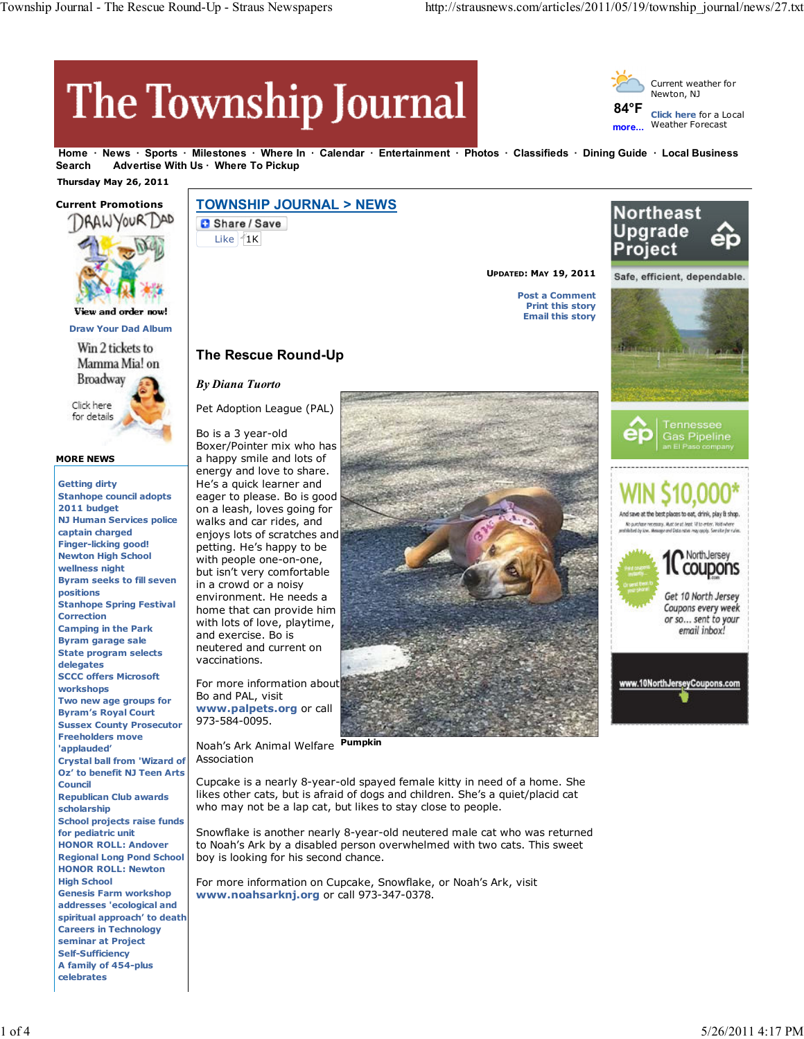# The Township Journal



**Home News Sports Milestones Where In Calendar Entertainment Photos Classifieds Dining Guide Local Business** Search Advertise With Us · Where To Pickup

 **Thursday May 26, 2011**



**Draw Your Dad Album**

Win 2 tickets to Mamma Mia! on **Broadway** Click here for details

#### **MORE NEWS**

**Getting dirty Stanhope council adopts 2011 budget NJ Human Services police captain charged Finger-licking good! Newton High School wellness night Byram seeks to fill seven positions Stanhope Spring Festival Correction Camping in the Park Byram garage sale State program selects delegates SCCC offers Microsoft workshops Two new age groups for Byram's Royal Court Sussex County Prosecutor Freeholders move 'applauded' Crystal ball from 'Wizard of Oz' to benefit NJ Teen Arts Council Republican Club awards scholarship School projects raise funds for pediatric unit HONOR ROLL: Andover Regional Long Pond School HONOR ROLL: Newton High School Genesis Farm workshop addresses 'ecological and spiritual approach' to death Careers in Technology seminar at Project Self-Sufficiency A family of 454-plus celebrates**

## **TOWNSHIP JOURNAL > NEWS**

Share / Save Like  $1K$ 





Pet Adoption League (PAL)

Bo is a 3 year-old Boxer/Pointer mix who has a happy smile and lots of energy and love to share. He's a quick learner and eager to please. Bo is good on a leash, loves going for walks and car rides, and enjoys lots of scratches and petting. He's happy to be with people one-on-one, but isn't very comfortable in a crowd or a noisy environment. He needs a home that can provide him with lots of love, playtime, and exercise. Bo is neutered and current on vaccinations.

For more information about Bo and PAL, visit **www.palpets.org** or call 973-584-0095.

**Pumpkin** Noah's Ark Animal Welfare Association

Cupcake is a nearly 8-year-old spayed female kitty in need of a home. She likes other cats, but is afraid of dogs and children. She's a quiet/placid cat who may not be a lap cat, but likes to stay close to people.

Snowflake is another nearly 8-year-old neutered male cat who was returned to Noah's Ark by a disabled person overwhelmed with two cats. This sweet boy is looking for his second chance.

For more information on Cupcake, Snowflake, or Noah's Ark, visit **www.noahsarknj.org** or call 973-347-0378.





**UPDATED: MAY 19, 2011**

**Post a Comment Print this story Email this story**





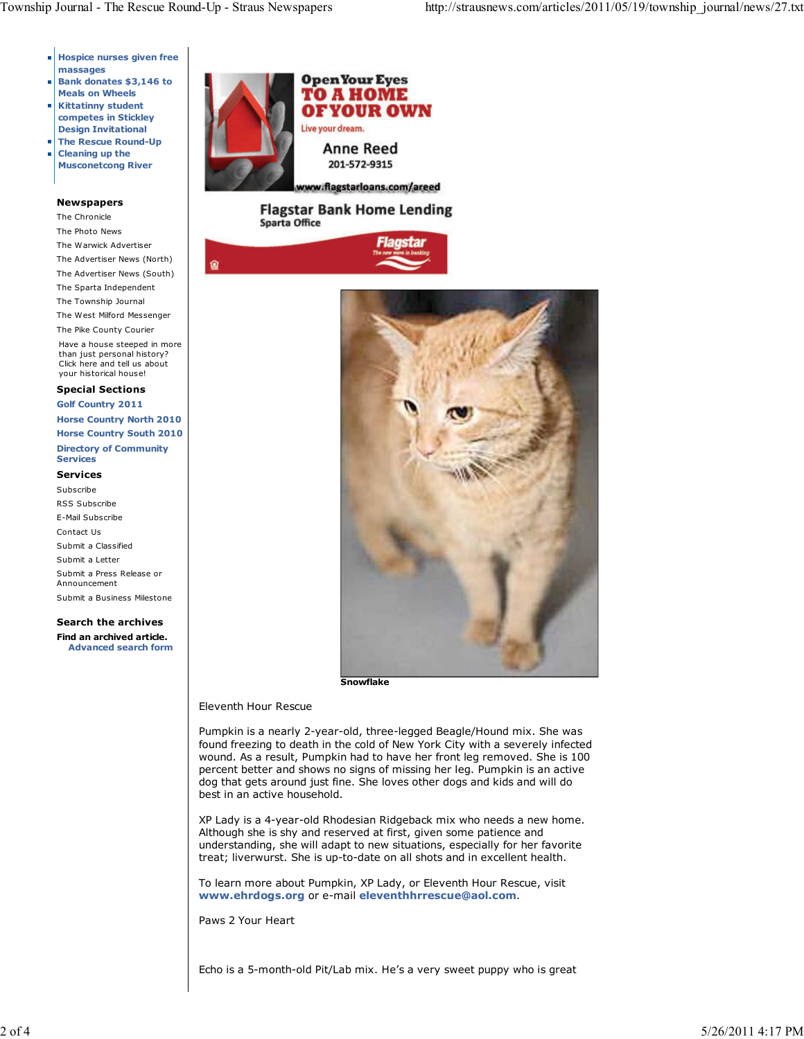۵

- **Hospice nurses given free massages**
- **Bank donates \$3,146 to Meals on Wheels**
- **Kittatinny student**  $\overline{\mathbb{L}}$ **competes in Stickley**
- **Design Invitational The Rescue Round-Up**
- **Cleaning up the** ш **Musconetcong River**

#### **Newspapers**

The Chronicle The Photo News The Warwick Advertiser The Advertiser News (North) The Advertiser News (South) The Sparta Independent The Township Journal The West Milford Messenger The Pike County Courier Have a house steeped in more than just personal history? Click here and tell us about your historical house! **Special Sections**

**Golf Country 2011**

**Horse Country North 2010 Horse Country South 2010 Directory of Community Services**

### **Services**

Subscribe RSS Subscribe E-Mail Subscribe Contact Us Submit a Classified Submit a Letter Submit a Press Release or Announcement Submit a Business Milestone

**Search the archives Find an archived article. Advanced search form**



**Flagstar Bank Home Lending Sparta Office** 





**Snowflake**

#### Eleventh Hour Rescue

Pumpkin is a nearly 2-year-old, three-legged Beagle/Hound mix. She was found freezing to death in the cold of New York City with a severely infected wound. As a result, Pumpkin had to have her front leg removed. She is 100 percent better and shows no signs of missing her leg. Pumpkin is an active dog that gets around just fine. She loves other dogs and kids and will do best in an active household.

XP Lady is a 4-year-old Rhodesian Ridgeback mix who needs a new home. Although she is shy and reserved at first, given some patience and understanding, she will adapt to new situations, especially for her favorite treat; liverwurst. She is up-to-date on all shots and in excellent health.

To learn more about Pumpkin, XP Lady, or Eleventh Hour Rescue, visit **www.ehrdogs.org** or e-mail **eleventhhrrescue@aol.com**.

Paws 2 Your Heart

Echo is a 5-month-old Pit/Lab mix. He's a very sweet puppy who is great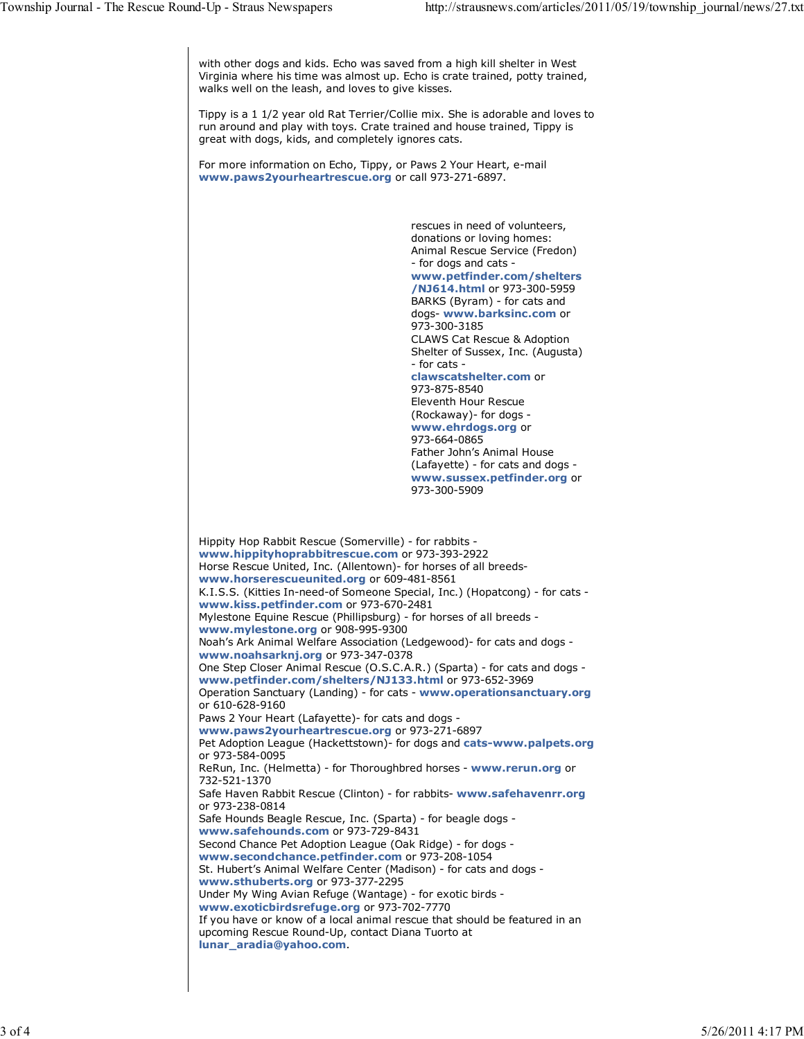with other dogs and kids. Echo was saved from a high kill shelter in West Virginia where his time was almost up. Echo is crate trained, potty trained, walks well on the leash, and loves to give kisses.

Tippy is a 1 1/2 year old Rat Terrier/Collie mix. She is adorable and loves to run around and play with toys. Crate trained and house trained, Tippy is great with dogs, kids, and completely ignores cats.

For more information on Echo, Tippy, or Paws 2 Your Heart, e-mail **www.paws2yourheartrescue.org** or call 973-271-6897.

> rescues in need of volunteers, donations or loving homes: Animal Rescue Service (Fredon) - for dogs and cats **www.petfinder.com/shelters /NJ614.html** or 973-300-5959 BARKS (Byram) - for cats and dogs- **www.barksinc.com** or 973-300-3185 CLAWS Cat Rescue & Adoption Shelter of Sussex, Inc. (Augusta) - for cats **clawscatshelter.com** or 973-875-8540 Eleventh Hour Rescue (Rockaway)- for dogs **www.ehrdogs.org** or 973-664-0865 Father John's Animal House (Lafayette) - for cats and dogs **www.sussex.petfinder.org** or 973-300-5909

Hippity Hop Rabbit Rescue (Somerville) - for rabbits **www.hippityhoprabbitrescue.com** or 973-393-2922 Horse Rescue United, Inc. (Allentown)- for horses of all breeds**www.horserescueunited.org** or 609-481-8561 K.I.S.S. (Kitties In-need-of Someone Special, Inc.) (Hopatcong) - for cats **www.kiss.petfinder.com** or 973-670-2481 Mylestone Equine Rescue (Phillipsburg) - for horses of all breeds **www.mylestone.org** or 908-995-9300 Noah's Ark Animal Welfare Association (Ledgewood)- for cats and dogs **www.noahsarknj.org** or 973-347-0378 One Step Closer Animal Rescue (O.S.C.A.R.) (Sparta) - for cats and dogs **www.petfinder.com/shelters/NJ133.html** or 973-652-3969 Operation Sanctuary (Landing) - for cats - **www.operationsanctuary.org** or 610-628-9160 Paws 2 Your Heart (Lafayette)- for cats and dogs **www.paws2yourheartrescue.org** or 973-271-6897 Pet Adoption League (Hackettstown)- for dogs and **cats-www.palpets.org** or 973-584-0095 ReRun, Inc. (Helmetta) - for Thoroughbred horses - **www.rerun.org** or 732-521-1370 Safe Haven Rabbit Rescue (Clinton) - for rabbits- **www.safehavenrr.org** or 973-238-0814 Safe Hounds Beagle Rescue, Inc. (Sparta) - for beagle dogs **www.safehounds.com** or 973-729-8431 Second Chance Pet Adoption League (Oak Ridge) - for dogs **www.secondchance.petfinder.com** or 973-208-1054 St. Hubert's Animal Welfare Center (Madison) - for cats and dogs **www.sthuberts.org** or 973-377-2295 Under My Wing Avian Refuge (Wantage) - for exotic birds **www.exoticbirdsrefuge.org** or 973-702-7770 If you have or know of a local animal rescue that should be featured in an upcoming Rescue Round-Up, contact Diana Tuorto at **lunar\_aradia@yahoo.com**.